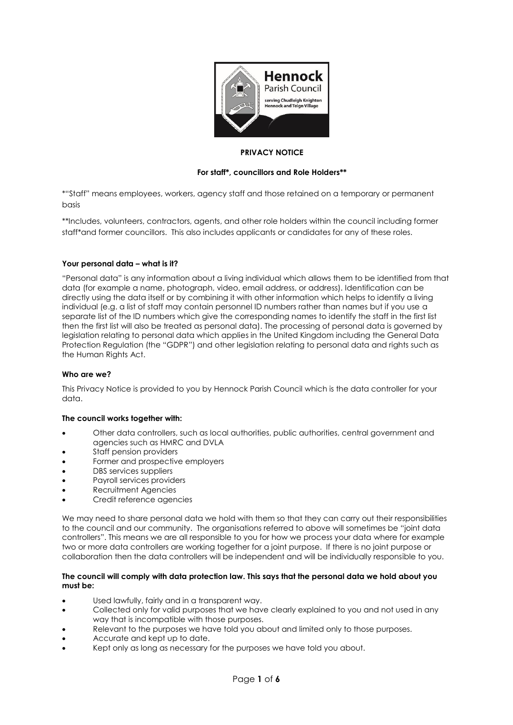

## **PRIVACY NOTICE**

# **For staff\*, councillors and Role Holders\*\***

\*"Staff" means employees, workers, agency staff and those retained on a temporary or permanent basis

\*\*Includes, volunteers, contractors, agents, and other role holders within the council including former staff\*and former councillors. This also includes applicants or candidates for any of these roles.

# **Your personal data – what is it?**

"Personal data" is any information about a living individual which allows them to be identified from that data (for example a name, photograph, video, email address, or address). Identification can be directly using the data itself or by combining it with other information which helps to identify a living individual (e.g. a list of staff may contain personnel ID numbers rather than names but if you use a separate list of the ID numbers which give the corresponding names to identify the staff in the first list then the first list will also be treated as personal data). The processing of personal data is governed by legislation relating to personal data which applies in the United Kingdom including the General Data Protection Regulation (the "GDPR") and other legislation relating to personal data and rights such as the Human Rights Act.

## **Who are we?**

This Privacy Notice is provided to you by Hennock Parish Council which is the data controller for your data.

## **The council works together with:**

- Other data controllers, such as local authorities, public authorities, central government and agencies such as HMRC and DVLA
- Staff pension providers
- Former and prospective employers
- DBS services suppliers
- Payroll services providers
- Recruitment Agencies
- Credit reference agencies

We may need to share personal data we hold with them so that they can carry out their responsibilities to the council and our community. The organisations referred to above will sometimes be "joint data controllers". This means we are all responsible to you for how we process your data where for example two or more data controllers are working together for a joint purpose. If there is no joint purpose or collaboration then the data controllers will be independent and will be individually responsible to you.

### **The council will comply with data protection law. This says that the personal data we hold about you must be:**

- Used lawfully, fairly and in a transparent way.
- Collected only for valid purposes that we have clearly explained to you and not used in any way that is incompatible with those purposes.
- Relevant to the purposes we have told you about and limited only to those purposes.
- Accurate and kept up to date.
- Kept only as long as necessary for the purposes we have told you about.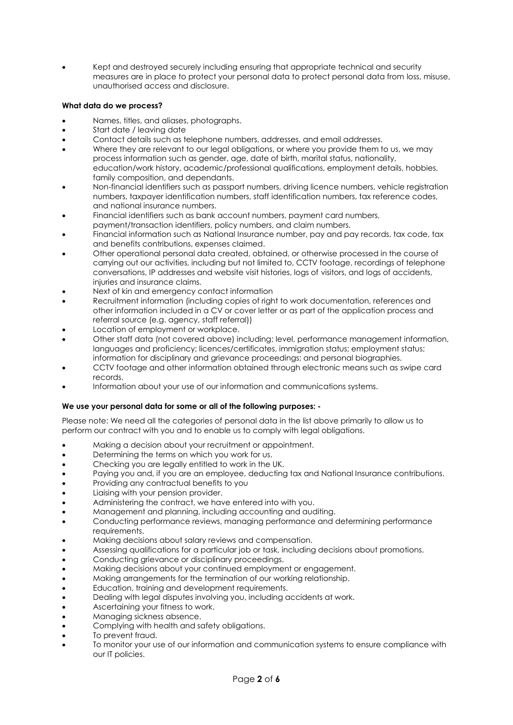• Kept and destroyed securely including ensuring that appropriate technical and security measures are in place to protect your personal data to protect personal data from loss, misuse, unauthorised access and disclosure.

# **What data do we process?**

- Names, titles, and aliases, photographs.
- Start date / leaving date
- Contact details such as telephone numbers, addresses, and email addresses.
- Where they are relevant to our legal obligations, or where you provide them to us, we may process information such as gender, age, date of birth, marital status, nationality, education/work history, academic/professional qualifications, employment details, hobbies, family composition, and dependants.
- Non-financial identifiers such as passport numbers, driving licence numbers, vehicle registration numbers, taxpayer identification numbers, staff identification numbers, tax reference codes, and national insurance numbers.
- Financial identifiers such as bank account numbers, payment card numbers, payment/transaction identifiers, policy numbers, and claim numbers.
- Financial information such as National Insurance number, pay and pay records, tax code, tax and benefits contributions, expenses claimed.
- Other operational personal data created, obtained, or otherwise processed in the course of carrying out our activities, including but not limited to, CCTV footage, recordings of telephone conversations, IP addresses and website visit histories, logs of visitors, and logs of accidents, injuries and insurance claims.
- Next of kin and emergency contact information
- Recruitment information (including copies of right to work documentation, references and other information included in a CV or cover letter or as part of the application process and referral source (e.g. agency, staff referral))
- Location of employment or workplace.
- Other staff data (not covered above) including; level, performance management information, languages and proficiency; licences/certificates, immigration status; employment status; information for disciplinary and grievance proceedings; and personal biographies.
- CCTV footage and other information obtained through electronic means such as swipe card records.
- Information about your use of our information and communications systems.

# **We use your personal data for some or all of the following purposes: -**

Please note: We need all the categories of personal data in the list above primarily to allow us to perform our contract with you and to enable us to comply with legal obligations.

- Making a decision about your recruitment or appointment.
- Determining the terms on which you work for us.
- Checking you are legally entitled to work in the UK.
- Paying you and, if you are an employee, deducting tax and National Insurance contributions.
- Providing any contractual benefits to you
- Liaising with your pension provider.
- Administering the contract, we have entered into with you.
- Management and planning, including accounting and auditing.
- Conducting performance reviews, managing performance and determining performance requirements.
- Making decisions about salary reviews and compensation.
- Assessing qualifications for a particular job or task, including decisions about promotions.
- Conducting grievance or disciplinary proceedings.
- Making decisions about your continued employment or engagement.
- Making arrangements for the termination of our working relationship.
- Education, training and development requirements.
- Dealing with legal disputes involving you, including accidents at work.
- Ascertaining your fitness to work.
- Managing sickness absence.
- Complying with health and safety obligations.
- To prevent fraud.
- To monitor your use of our information and communication systems to ensure compliance with our IT policies.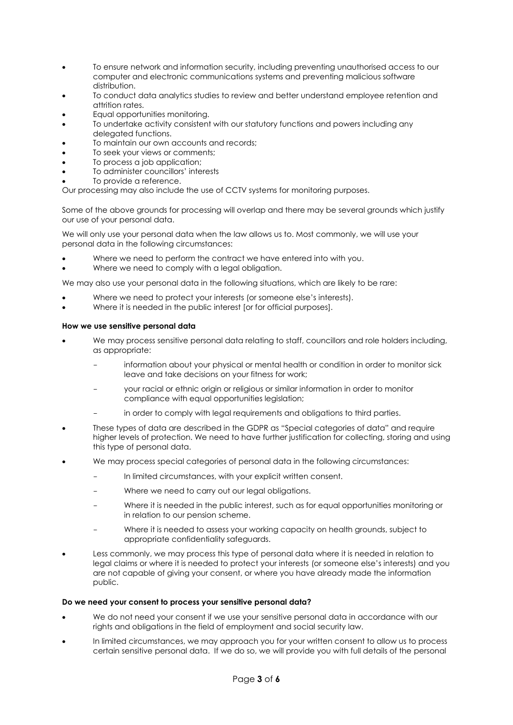- To ensure network and information security, including preventing unauthorised access to our computer and electronic communications systems and preventing malicious software distribution.
- To conduct data analytics studies to review and better understand employee retention and attrition rates.
- Equal opportunities monitoring.
- To undertake activity consistent with our statutory functions and powers including any delegated functions.
- To maintain our own accounts and records;
- To seek your views or comments:
- To process a job application;
- To administer councillors' interests
- To provide a reference.

Our processing may also include the use of CCTV systems for monitoring purposes.

Some of the above grounds for processing will overlap and there may be several grounds which justify our use of your personal data.

We will only use your personal data when the law allows us to. Most commonly, we will use your personal data in the following circumstances:

- Where we need to perform the contract we have entered into with you.
- Where we need to comply with a legal obligation.

We may also use your personal data in the following situations, which are likely to be rare:

- Where we need to protect your interests (or someone else's interests).
- Where it is needed in the public interest [or for official purposes].

### **How we use sensitive personal data**

- We may process sensitive personal data relating to staff, councillors and role holders including, as appropriate:
	- information about your physical or mental health or condition in order to monitor sick leave and take decisions on your fitness for work;
	- your racial or ethnic origin or religious or similar information in order to monitor compliance with equal opportunities legislation;
	- in order to comply with legal requirements and obligations to third parties.
- These types of data are described in the GDPR as "Special categories of data" and require higher levels of protection. We need to have further justification for collecting, storing and using this type of personal data.
- We may process special categories of personal data in the following circumstances:
	- In limited circumstances, with your explicit written consent.
	- Where we need to carry out our legal obligations.
	- Where it is needed in the public interest, such as for equal opportunities monitoring or in relation to our pension scheme.
	- Where it is needed to assess your working capacity on health grounds, subject to appropriate confidentiality safeguards.
- Less commonly, we may process this type of personal data where it is needed in relation to legal claims or where it is needed to protect your interests (or someone else's interests) and you are not capable of giving your consent, or where you have already made the information public.

## **Do we need your consent to process your sensitive personal data?**

- We do not need your consent if we use your sensitive personal data in accordance with our rights and obligations in the field of employment and social security law.
- In limited circumstances, we may approach you for your written consent to allow us to process certain sensitive personal data. If we do so, we will provide you with full details of the personal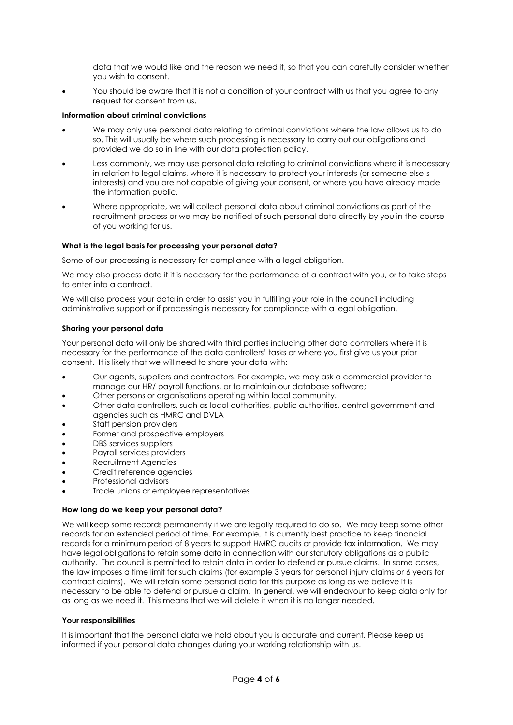data that we would like and the reason we need it, so that you can carefully consider whether you wish to consent.

You should be aware that it is not a condition of your contract with us that you agree to any request for consent from us.

## **Information about criminal convictions**

- We may only use personal data relating to criminal convictions where the law allows us to do so. This will usually be where such processing is necessary to carry out our obligations and provided we do so in line with our data protection policy.
- Less commonly, we may use personal data relating to criminal convictions where it is necessary in relation to legal claims, where it is necessary to protect your interests (or someone else's interests) and you are not capable of giving your consent, or where you have already made the information public.
- Where appropriate, we will collect personal data about criminal convictions as part of the recruitment process or we may be notified of such personal data directly by you in the course of you working for us.

### **What is the legal basis for processing your personal data?**

Some of our processing is necessary for compliance with a legal obligation.

We may also process data if it is necessary for the performance of a contract with you, or to take steps to enter into a contract.

We will also process your data in order to assist you in fulfilling your role in the council including administrative support or if processing is necessary for compliance with a legal obligation.

### **Sharing your personal data**

Your personal data will only be shared with third parties including other data controllers where it is necessary for the performance of the data controllers' tasks or where you first give us your prior consent. It is likely that we will need to share your data with:

- Our agents, suppliers and contractors. For example, we may ask a commercial provider to manage our HR/ payroll functions, or to maintain our database software;
- Other persons or organisations operating within local community.
- Other data controllers, such as local authorities, public authorities, central government and agencies such as HMRC and DVLA
- Staff pension providers
- Former and prospective employers
- DBS services suppliers
- Payroll services providers
- Recruitment Agencies
- Credit reference agencies
- Professional advisors
- Trade unions or employee representatives

#### **How long do we keep your personal data?**

We will keep some records permanently if we are legally required to do so. We may keep some other records for an extended period of time. For example, it is currently best practice to keep financial records for a minimum period of 8 years to support HMRC audits or provide tax information. We may have legal obligations to retain some data in connection with our statutory obligations as a public authority. The council is permitted to retain data in order to defend or pursue claims. In some cases, the law imposes a time limit for such claims (for example 3 years for personal injury claims or 6 years for contract claims). We will retain some personal data for this purpose as long as we believe it is necessary to be able to defend or pursue a claim. In general, we will endeavour to keep data only for as long as we need it. This means that we will delete it when it is no longer needed.

#### **Your responsibilities**

It is important that the personal data we hold about you is accurate and current. Please keep us informed if your personal data changes during your working relationship with us.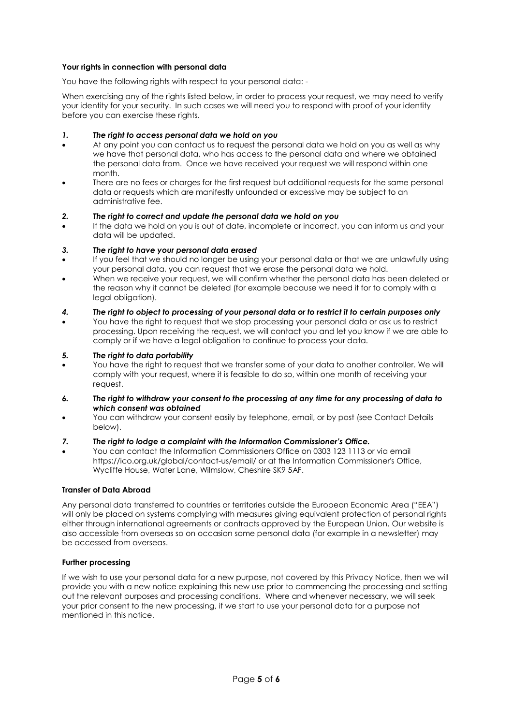# **Your rights in connection with personal data**

You have the following rights with respect to your personal data: -

When exercising any of the rights listed below, in order to process your request, we may need to verify your identity for your security. In such cases we will need you to respond with proof of your identity before you can exercise these rights.

## *1. The right to access personal data we hold on you*

- At any point you can contact us to request the personal data we hold on you as well as why we have that personal data, who has access to the personal data and where we obtained the personal data from. Once we have received your request we will respond within one month.
- There are no fees or charges for the first request but additional requests for the same personal data or requests which are manifestly unfounded or excessive may be subject to an administrative fee.

# *2. The right to correct and update the personal data we hold on you*

• If the data we hold on you is out of date, incomplete or incorrect, you can inform us and your data will be updated.

# *3. The right to have your personal data erased*

- If you feel that we should no longer be using your personal data or that we are unlawfully using your personal data, you can request that we erase the personal data we hold.
- When we receive your request, we will confirm whether the personal data has been deleted or the reason why it cannot be deleted (for example because we need it for to comply with a legal obligation).

# *4. The right to object to processing of your personal data or to restrict it to certain purposes only*

• You have the right to request that we stop processing your personal data or ask us to restrict processing. Upon receiving the request, we will contact you and let you know if we are able to comply or if we have a legal obligation to continue to process your data.

# *5. The right to data portability*

- You have the right to request that we transfer some of your data to another controller. We will comply with your request, where it is feasible to do so, within one month of receiving your request.
- *6. The right to withdraw your consent to the processing at any time for any processing of data to which consent was obtained*
- You can withdraw your consent easily by telephone, email, or by post (see Contact Details below).

## *7. The right to lodge a complaint with the Information Commissioner's Office.*

• You can contact the Information Commissioners Office on 0303 123 1113 or via email https://ico.org.uk/global/contact-us/email/ or at the Information Commissioner's Office, Wycliffe House, Water Lane, Wilmslow, Cheshire SK9 5AF.

## **Transfer of Data Abroad**

Any personal data transferred to countries or territories outside the European Economic Area ("EEA") will only be placed on systems complying with measures giving equivalent protection of personal rights either through international agreements or contracts approved by the European Union. Our website is also accessible from overseas so on occasion some personal data (for example in a newsletter) may be accessed from overseas.

## **Further processing**

If we wish to use your personal data for a new purpose, not covered by this Privacy Notice, then we will provide you with a new notice explaining this new use prior to commencing the processing and setting out the relevant purposes and processing conditions. Where and whenever necessary, we will seek your prior consent to the new processing, if we start to use your personal data for a purpose not mentioned in this notice.